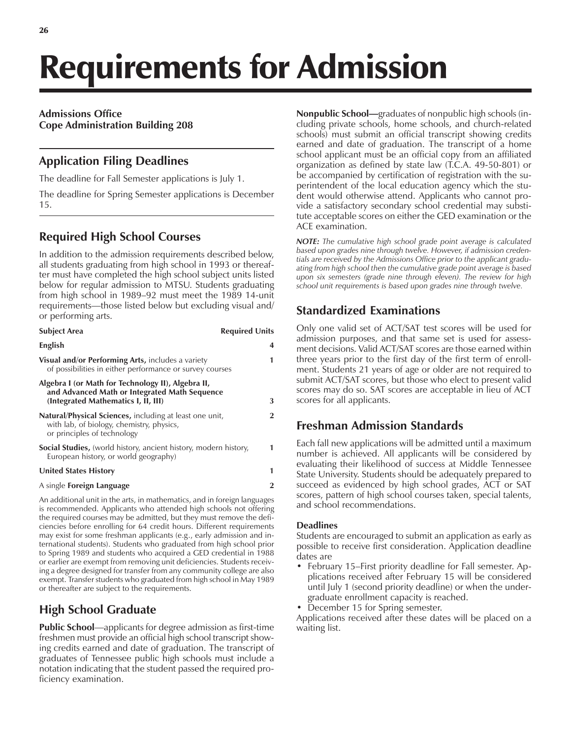# Requirements for Admission

#### **Admissions Office Cope Administration Building 208**

# **Application Filing Deadlines**

The deadline for Fall Semester applications is July 1.

The deadline for Spring Semester applications is December 15.

# **Required High School Courses**

In addition to the admission requirements described below, all students graduating from high school in 1993 or thereafter must have completed the high school subject units listed below for regular admission to MTSU. Students graduating from high school in 1989–92 must meet the 1989 14-unit requirements—those listed below but excluding visual and/ or performing arts.

| <b>Subject Area</b>                                                                                                                           | <b>Required Units</b> |
|-----------------------------------------------------------------------------------------------------------------------------------------------|-----------------------|
| English                                                                                                                                       | 4                     |
| <b>Visual and/or Performing Arts, includes a variety</b><br>of possibilities in either performance or survey courses                          | 1                     |
| Algebra I (or Math for Technology II), Algebra II,<br>and Advanced Math or Integrated Math Sequence<br>(Integrated Mathematics I, II, III)    | 3                     |
| Natural/Physical Sciences, including at least one unit,<br>with lab, of biology, chemistry, physics,<br>or principles of technology           | $\overline{2}$        |
| <b>Social Studies,</b> (world history, ancient history, modern history,<br>European history, or world geography)                              | 1                     |
| <b>United States History</b>                                                                                                                  | 1                     |
| A single <b>Foreign Language</b>                                                                                                              | $\overline{2}$        |
| An additional unit in the arts, in mathematics, and in foreign languages<br>is recommended. Applicants who attended high schools not offering |                       |

is recommended. Applicants who attended high schools not offering the required courses may be admitted, but they must remove the deficiencies before enrolling for 64 credit hours. Different requirements may exist for some freshman applicants (e.g., early admission and international students). Students who graduated from high school prior to Spring 1989 and students who acquired a GED credential in 1988 or earlier are exempt from removing unit deficiencies. Students receiving a degree designed for transfer from any community college are also exempt. Transfer students who graduated from high school in May 1989 or thereafter are subject to the requirements.

# **High School Graduate**

**Public School**—applicants for degree admission as first-time freshmen must provide an official high school transcript showing credits earned and date of graduation. The transcript of graduates of Tennessee public high schools must include a notation indicating that the student passed the required proficiency examination.

**Nonpublic School—**graduates of nonpublic high schools (including private schools, home schools, and church-related schools) must submit an official transcript showing credits earned and date of graduation. The transcript of a home school applicant must be an official copy from an affiliated organization as defined by state law (T.C.A. 49-50-801) or be accompanied by certification of registration with the superintendent of the local education agency which the student would otherwise attend. Applicants who cannot provide a satisfactory secondary school credential may substitute acceptable scores on either the GED examination or the ACE examination.

*NOTE: The cumulative high school grade point average is calculated based upon grades nine through twelve. However, if admission credentials are received by the Admissions Office prior to the applicant graduating from high school then the cumulative grade point average is based upon six semesters (grade nine through eleven). The review for high school unit requirements is based upon grades nine through twelve.*

# **Standardized Examinations**

Only one valid set of ACT/SAT test scores will be used for admission purposes, and that same set is used for assessment decisions. Valid ACT/SAT scores are those earned within three years prior to the first day of the first term of enrollment. Students 21 years of age or older are not required to submit ACT/SAT scores, but those who elect to present valid scores may do so. SAT scores are acceptable in lieu of ACT scores for all applicants.

# **Freshman Admission Standards**

Each fall new applications will be admitted until a maximum number is achieved. All applicants will be considered by evaluating their likelihood of success at Middle Tennessee State University. Students should be adequately prepared to succeed as evidenced by high school grades, ACT or SAT scores, pattern of high school courses taken, special talents, and school recommendations.

#### **Deadlines**

Students are encouraged to submit an application as early as possible to receive first consideration. Application deadline dates are

- February 15–First priority deadline for Fall semester. Applications received after February 15 will be considered until July 1 (second priority deadline) or when the undergraduate enrollment capacity is reached.
- December 15 for Spring semester.

Applications received after these dates will be placed on a waiting list.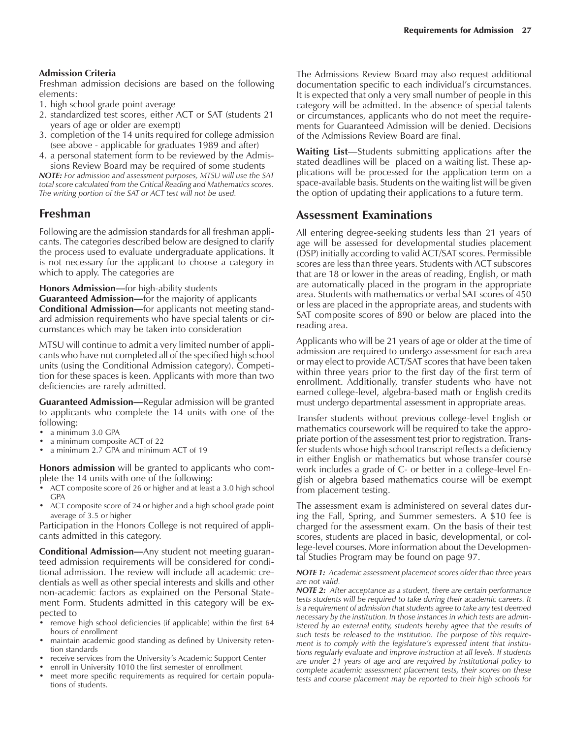#### **Admission Criteria**

Freshman admission decisions are based on the following elements:

- 1. high school grade point average
- 2. standardized test scores, either ACT or SAT (students 21 years of age or older are exempt)
- 3. completion of the 14 units required for college admission (see above - applicable for graduates 1989 and after)
- 4. a personal statement form to be reviewed by the Admissions Review Board may be required of some students

*NOTE: For admission and assessment purposes, MTSU will use the SAT total score calculated from the Critical Reading and Mathematics scores. The writing portion of the SAT or ACT test will not be used.*

## **Freshman**

Following are the admission standards for all freshman applicants. The categories described below are designed to clarify the process used to evaluate undergraduate applications. It is not necessary for the applicant to choose a category in which to apply. The categories are

**Honors Admission**—for high-ability students **Guaranteed Admission—for the majority of applicants Conditional Admission**—for applicants not meeting standard admission requirements who have special talents or circumstances which may be taken into consideration

MTSU will continue to admit a very limited number of applicants who have not completed all of the specified high school units (using the Conditional Admission category). Competition for these spaces is keen. Applicants with more than two deficiencies are rarely admitted.

**Guaranteed Admission—Regular admission will be granted** to applicants who complete the 14 units with one of the following:

- a minimum 3.0 GPA
- a minimum composite ACT of 22
- a minimum 2.7 GPA and minimum ACT of 19

**Honors admission** will be granted to applicants who complete the 14 units with one of the following:

- ACT composite score of 26 or higher and at least a 3.0 high school GPA
- ACT composite score of 24 or higher and a high school grade point average of 3.5 or higher

Participation in the Honors College is not required of applicants admitted in this category.

**Conditional Admission**—Any student not meeting guaranteed admission requirements will be considered for conditional admission. The review will include all academic credentials as well as other special interests and skills and other non-academic factors as explained on the Personal Statement Form. Students admitted in this category will be expected to

- remove high school deficiencies (if applicable) within the first 64 hours of enrollment
- maintain academic good standing as defined by University retention standards
- receive services from the University's Academic Support Center
- enroll in University 1010 the first semester of enrollment
- meet more specific requirements as required for certain populations of students.

The Admissions Review Board may also request additional documentation specific to each individual's circumstances. It is expected that only a very small number of people in this category will be admitted. In the absence of special talents or circumstances, applicants who do not meet the requirements for Guaranteed Admission will be denied. Decisions of the Admissions Review Board are final.

**Waiting List**—Students submitting applications after the stated deadlines will be placed on a waiting list. These applications will be processed for the application term on a space-available basis. Students on the waiting list will be given the option of updating their applications to a future term.

#### **Assessment Examinations**

All entering degree-seeking students less than 21 years of age will be assessed for developmental studies placement (DSP) initially according to valid ACT/SAT scores. Permissible scores are less than three years. Students with ACT subscores that are 18 or lower in the areas of reading, English, or math are automatically placed in the program in the appropriate area. Students with mathematics or verbal SAT scores of 450 or less are placed in the appropriate areas, and students with SAT composite scores of 890 or below are placed into the reading area.

Applicants who will be 21 years of age or older at the time of admission are required to undergo assessment for each area or may elect to provide ACT/SAT scores that have been taken within three years prior to the first day of the first term of enrollment. Additionally, transfer students who have not earned college-level, algebra-based math or English credits must undergo departmental assessment in appropriate areas.

Transfer students without previous college-level English or mathematics coursework will be required to take the appropriate portion of the assessment test prior to registration. Transfer students whose high school transcript reflects a deficiency in either English or mathematics but whose transfer course work includes a grade of C- or better in a college-level English or algebra based mathematics course will be exempt from placement testing.

The assessment exam is administered on several dates during the Fall, Spring, and Summer semesters. A \$10 fee is charged for the assessment exam. On the basis of their test scores, students are placed in basic, developmental, or college-level courses. More information about the Developmental Studies Program may be found on page 97.

#### *NOTE 1: Academic assessment placement scores older than three years are not valid.*

*NOTE 2: After acceptance as a student, there are certain performance tests students will be required to take during their academic careers. It is a requirement of admission that students agree to take any test deemed necessary by the institution. In those instances in which tests are administered by an external entity, students hereby agree that the results of such tests be released to the institution. The purpose of this require*ment is to comply with the legislature's expressed intent that institu*tions regularly evaluate and improve instruction at all levels. If students are under 21 years of age and are required by institutional policy to complete academic assessment placement tests, their scores on these tests and course placement may be reported to their high schools for*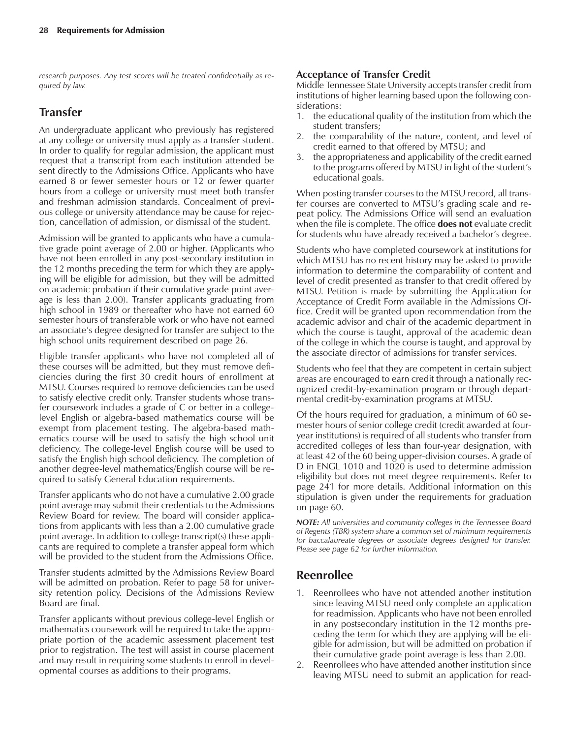*research purposes. Any test scores will be treated confidentially as required by law.*

# **Transfer**

An undergraduate applicant who previously has registered at any college or university must apply as a transfer student. In order to qualify for regular admission, the applicant must request that a transcript from each institution attended be sent directly to the Admissions Office. Applicants who have earned 8 or fewer semester hours or 12 or fewer quarter hours from a college or university must meet both transfer and freshman admission standards. Concealment of previous college or university attendance may be cause for rejection, cancellation of admission, or dismissal of the student.

Admission will be granted to applicants who have a cumulative grade point average of 2.00 or higher. (Applicants who have not been enrolled in any post-secondary institution in the 12 months preceding the term for which they are applying will be eligible for admission, but they will be admitted on academic probation if their cumulative grade point average is less than 2.00). Transfer applicants graduating from high school in 1989 or thereafter who have not earned 60 semester hours of transferable work or who have not earned an associate's degree designed for transfer are subject to the high school units requirement described on page 26.

Eligible transfer applicants who have not completed all of these courses will be admitted, but they must remove deficiencies during the first 30 credit hours of enrollment at MTSU. Courses required to remove deficiencies can be used to satisfy elective credit only. Transfer students whose transfer coursework includes a grade of C or better in a collegelevel English or algebra-based mathematics course will be exempt from placement testing. The algebra-based mathematics course will be used to satisfy the high school unit deficiency. The college-level English course will be used to satisfy the English high school deficiency. The completion of another degree-level mathematics/English course will be required to satisfy General Education requirements.

Transfer applicants who do not have a cumulative 2.00 grade point average may submit their credentials to the Admissions Review Board for review. The board will consider applications from applicants with less than a 2.00 cumulative grade point average. In addition to college transcript(s) these applicants are required to complete a transfer appeal form which will be provided to the student from the Admissions Office.

Transfer students admitted by the Admissions Review Board will be admitted on probation. Refer to page 58 for university retention policy. Decisions of the Admissions Review Board are final.

Transfer applicants without previous college-level English or mathematics coursework will be required to take the appropriate portion of the academic assessment placement test prior to registration. The test will assist in course placement and may result in requiring some students to enroll in developmental courses as additions to their programs.

#### **Acceptance of Transfer Credit**

Middle Tennessee State University accepts transfer credit from institutions of higher learning based upon the following considerations:

- 1. the educational quality of the institution from which the student transfers;
- 2. the comparability of the nature, content, and level of credit earned to that offered by MTSU; and
- 3. the appropriateness and applicability of the credit earned to the programs offered by MTSU in light of the student's educational goals.

When posting transfer courses to the MTSU record, all transfer courses are converted to MTSU's grading scale and repeat policy. The Admissions Office will send an evaluation when the file is complete. The office **does not** evaluate credit for students who have already received a bachelor's degree.

Students who have completed coursework at institutions for which MTSU has no recent history may be asked to provide information to determine the comparability of content and level of credit presented as transfer to that credit offered by MTSU. Petition is made by submitting the Application for Acceptance of Credit Form available in the Admissions Office. Credit will be granted upon recommendation from the academic advisor and chair of the academic department in which the course is taught, approval of the academic dean of the college in which the course is taught, and approval by the associate director of admissions for transfer services.

Students who feel that they are competent in certain subject areas are encouraged to earn credit through a nationally recognized credit-by-examination program or through departmental credit-by-examination programs at MTSU.

Of the hours required for graduation, a minimum of 60 semester hours of senior college credit (credit awarded at fouryear institutions) is required of all students who transfer from accredited colleges of less than four-year designation, with at least 42 of the 60 being upper-division courses. A grade of D in ENGL 1010 and 1020 is used to determine admission eligibility but does not meet degree requirements. Refer to page 241 for more details. Additional information on this stipulation is given under the requirements for graduation on page 60.

*NOTE: All universities and community colleges in the Tennessee Board of Regents (TBR) system share a common set of minimum requirements for baccalaureate degrees or associate degrees designed for transfer. Please see page 62 for further information.*

## **Reenrollee**

- 1. Reenrollees who have not attended another institution since leaving MTSU need only complete an application for readmission. Applicants who have not been enrolled in any postsecondary institution in the 12 months preceding the term for which they are applying will be eligible for admission, but will be admitted on probation if their cumulative grade point average is less than 2.00.
- 2. Reenrollees who have attended another institution since leaving MTSU need to submit an application for read-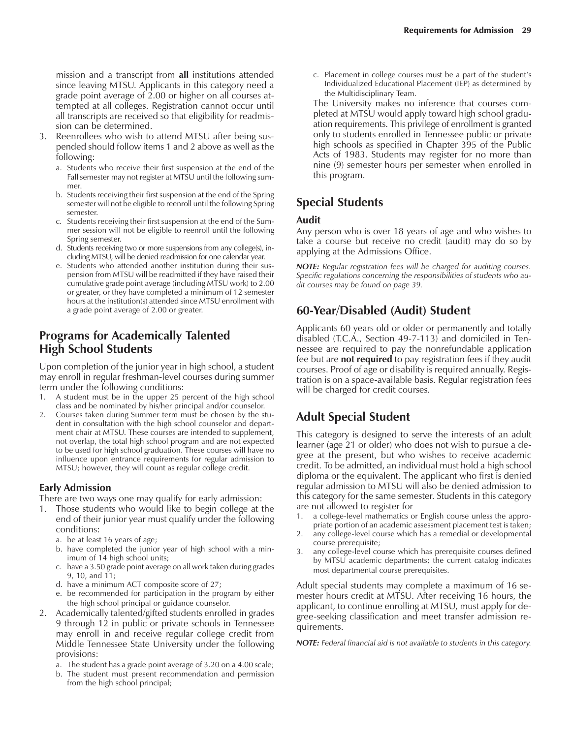mission and a transcript from **all** institutions attended since leaving MTSU. Applicants in this category need a grade point average of 2.00 or higher on all courses attempted at all colleges. Registration cannot occur until all transcripts are received so that eligibility for readmission can be determined.

- 3. Reenrollees who wish to attend MTSU after being suspended should follow items 1 and 2 above as well as the following:
	- a. Students who receive their first suspension at the end of the Fall semester may not register at MTSU until the following summer.
	- b. Students receiving their first suspension at the end of the Spring semester will not be eligible to reenroll until the following Spring semester.
	- c. Students receiving their first suspension at the end of the Summer session will not be eligible to reenroll until the following Spring semester.
	- d. Students receiving two or more suspensions from any college(s), including MTSU, will be denied readmission for one calendar year.
	- e. Students who attended another institution during their suspension from MTSU will be readmitted if they have raised their cumulative grade point average (including MTSU work) to 2.00 or greater, or they have completed a minimum of 12 semester hours at the institution(s) attended since MTSU enrollment with a grade point average of 2.00 or greater.

#### **Programs for Academically Talented High School Students**

Upon completion of the junior year in high school, a student may enroll in regular freshman-level courses during summer term under the following conditions:

- 1. A student must be in the upper 25 percent of the high school class and be nominated by his/her principal and/or counselor.
- 2. Courses taken during Summer term must be chosen by the student in consultation with the high school counselor and department chair at MTSU. These courses are intended to supplement, not overlap, the total high school program and are not expected to be used for high school graduation. These courses will have no influence upon entrance requirements for regular admission to MTSU; however, they will count as regular college credit.

#### **Early Admission**

There are two ways one may qualify for early admission:

- 1. Those students who would like to begin college at the end of their junior year must qualify under the following conditions:
	- a. be at least 16 years of age;
	- b. have completed the junior year of high school with a minimum of 14 high school units;
	- c. have a 3.50 grade point average on all work taken during grades 9, 10, and 11;
	- d. have a minimum ACT composite score of 27;
	- e. be recommended for participation in the program by either the high school principal or guidance counselor.
- 2. Academically talented/gifted students enrolled in grades 9 through 12 in public or private schools in Tennessee may enroll in and receive regular college credit from Middle Tennessee State University under the following provisions:
	- a. The student has a grade point average of 3.20 on a 4.00 scale;
	- b. The student must present recommendation and permission from the high school principal;

c. Placement in college courses must be a part of the student's Individualized Educational Placement (IEP) as determined by the Multidisciplinary Team.

The University makes no inference that courses completed at MTSU would apply toward high school graduation requirements. This privilege of enrollment is granted only to students enrolled in Tennessee public or private high schools as specified in Chapter 395 of the Public Acts of 1983. Students may register for no more than nine (9) semester hours per semester when enrolled in this program.

# **Special Students**

#### **Audit**

Any person who is over 18 years of age and who wishes to take a course but receive no credit (audit) may do so by applying at the Admissions Office.

*NOTE: Regular registration fees will be charged for auditing courses. Specific regulations concerning the responsibilities of students who audit courses may be found on page 39.*

# **60-Year/Disabled (Audit) Student**

Applicants 60 years old or older or permanently and totally disabled (T.C.A., Section 49-7-113) and domiciled in Tennessee are required to pay the nonrefundable application fee but are **not required** to pay registration fees if they audit courses. Proof of age or disability is required annually. Registration is on a space-available basis. Regular registration fees will be charged for credit courses.

# **Adult Special Student**

This category is designed to serve the interests of an adult learner (age 21 or older) who does not wish to pursue a degree at the present, but who wishes to receive academic credit. To be admitted, an individual must hold a high school diploma or the equivalent. The applicant who first is denied regular admission to MTSU will also be denied admission to this category for the same semester. Students in this category are not allowed to register for

- a college-level mathematics or English course unless the appropriate portion of an academic assessment placement test is taken;
- 2. any college-level course which has a remedial or developmental course prerequisite;
- 3. any college-level course which has prerequisite courses defined by MTSU academic departments; the current catalog indicates most departmental course prerequisites.

Adult special students may complete a maximum of 16 semester hours credit at MTSU. After receiving 16 hours, the applicant, to continue enrolling at MTSU, must apply for degree-seeking classification and meet transfer admission requirements.

*NOTE: Federal financial aid is not available to students in this category.*